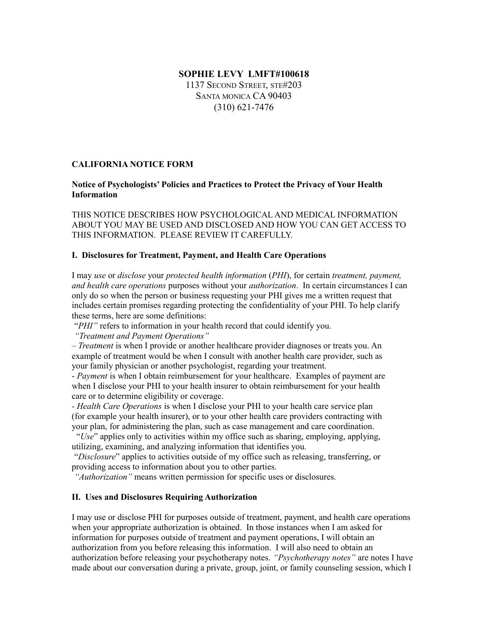# **SOPHIE LEVY LMFT#100618**

1137 SECOND STREET, STE#203 SANTA MONICA CA 90403 (310) 621-7476

# **CALIFORNIA NOTICE FORM**

# **Notice of Psychologists' Policies and Practices to Protect the Privacy of Your Health Information**

THIS NOTICE DESCRIBES HOW PSYCHOLOGICAL AND MEDICAL INFORMATION ABOUT YOU MAY BE USED AND DISCLOSED AND HOW YOU CAN GET ACCESS TO THIS INFORMATION. PLEASE REVIEW IT CAREFULLY.

#### **I. Disclosures for Treatment, Payment, and Health Care Operations**

I may *use* or *disclose* your *protected health information* (*PHI*), for certain *treatment, payment, and health care operations* purposes without your *authorization*. In certain circumstances I can only do so when the person or business requesting your PHI gives me a written request that includes certain promises regarding protecting the confidentiality of your PHI. To help clarify these terms, here are some definitions:

"*PHI*" refers to information in your health record that could identify you.

*"Treatment and Payment Operations"*

– *Treatment* is when I provide or another healthcare provider diagnoses or treats you. An example of treatment would be when I consult with another health care provider, such as your family physician or another psychologist, regarding your treatment.

- *Payment* is when I obtain reimbursement for your healthcare. Examples of payment are when I disclose your PHI to your health insurer to obtain reimbursement for your health care or to determine eligibility or coverage.

*- Health Care Operations* is when I disclose your PHI to your health care service plan (for example your health insurer), or to your other health care providers contracting with your plan, for administering the plan, such as case management and care coordination.

 "*Use*" applies only to activities within my office such as sharing, employing, applying, utilizing, examining, and analyzing information that identifies you.

"*Disclosure*" applies to activities outside of my office such as releasing, transferring, or providing access to information about you to other parties.

*"Authorization"* means written permission for specific uses or disclosures.

# **II. Uses and Disclosures Requiring Authorization**

I may use or disclose PHI for purposes outside of treatment, payment, and health care operations when your appropriate authorization is obtained. In those instances when I am asked for information for purposes outside of treatment and payment operations, I will obtain an authorization from you before releasing this information. I will also need to obtain an authorization before releasing your psychotherapy notes. *"Psychotherapy notes"* are notes I have made about our conversation during a private, group, joint, or family counseling session, which I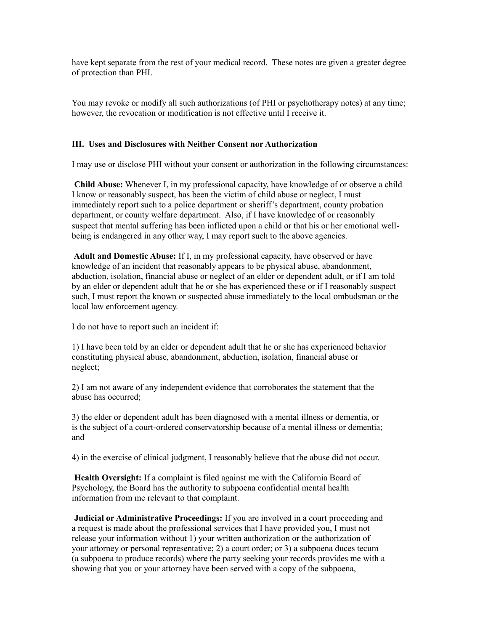have kept separate from the rest of your medical record. These notes are given a greater degree of protection than PHI.

You may revoke or modify all such authorizations (of PHI or psychotherapy notes) at any time; however, the revocation or modification is not effective until I receive it.

#### **III. Uses and Disclosures with Neither Consent nor Authorization**

I may use or disclose PHI without your consent or authorization in the following circumstances:

**Child Abuse:** Whenever I, in my professional capacity, have knowledge of or observe a child I know or reasonably suspect, has been the victim of child abuse or neglect, I must immediately report such to a police department or sheriff's department, county probation department, or county welfare department. Also, if I have knowledge of or reasonably suspect that mental suffering has been inflicted upon a child or that his or her emotional wellbeing is endangered in any other way, I may report such to the above agencies.

**Adult and Domestic Abuse:** If I, in my professional capacity, have observed or have knowledge of an incident that reasonably appears to be physical abuse, abandonment, abduction, isolation, financial abuse or neglect of an elder or dependent adult, or if I am told by an elder or dependent adult that he or she has experienced these or if I reasonably suspect such, I must report the known or suspected abuse immediately to the local ombudsman or the local law enforcement agency.

I do not have to report such an incident if:

1) I have been told by an elder or dependent adult that he or she has experienced behavior constituting physical abuse, abandonment, abduction, isolation, financial abuse or neglect;

2) I am not aware of any independent evidence that corroborates the statement that the abuse has occurred;

3) the elder or dependent adult has been diagnosed with a mental illness or dementia, or is the subject of a court-ordered conservatorship because of a mental illness or dementia; and

4) in the exercise of clinical judgment, I reasonably believe that the abuse did not occur.

**Health Oversight:** If a complaint is filed against me with the California Board of Psychology, the Board has the authority to subpoena confidential mental health information from me relevant to that complaint.

**Judicial or Administrative Proceedings:** If you are involved in a court proceeding and a request is made about the professional services that I have provided you, I must not release your information without 1) your written authorization or the authorization of your attorney or personal representative; 2) a court order; or 3) a subpoena duces tecum (a subpoena to produce records) where the party seeking your records provides me with a showing that you or your attorney have been served with a copy of the subpoena,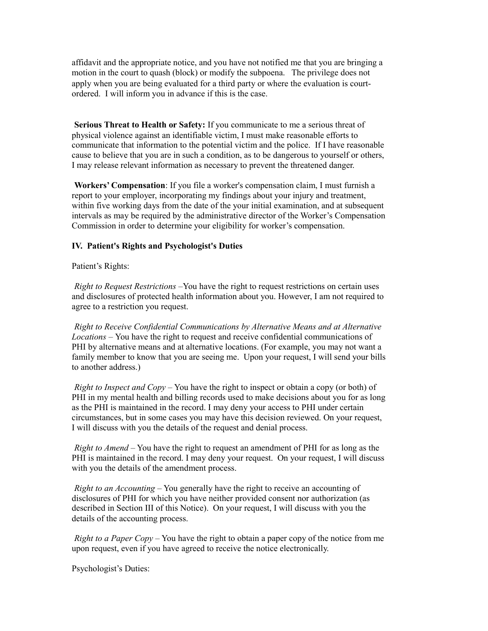affidavit and the appropriate notice, and you have not notified me that you are bringing a motion in the court to quash (block) or modify the subpoena. The privilege does not apply when you are being evaluated for a third party or where the evaluation is courtordered. I will inform you in advance if this is the case.

**Serious Threat to Health or Safety:** If you communicate to me a serious threat of physical violence against an identifiable victim, I must make reasonable efforts to communicate that information to the potential victim and the police. If I have reasonable cause to believe that you are in such a condition, as to be dangerous to yourself or others, I may release relevant information as necessary to prevent the threatened danger.

**Workers' Compensation**: If you file a worker's compensation claim, I must furnish a report to your employer, incorporating my findings about your injury and treatment, within five working days from the date of the your initial examination, and at subsequent intervals as may be required by the administrative director of the Worker's Compensation Commission in order to determine your eligibility for worker's compensation.

# **IV. Patient's Rights and Psychologist's Duties**

Patient's Rights:

*Right to Request Restrictions* –You have the right to request restrictions on certain uses and disclosures of protected health information about you. However, I am not required to agree to a restriction you request.

*Right to Receive Confidential Communications by Alternative Means and at Alternative Locations* – You have the right to request and receive confidential communications of PHI by alternative means and at alternative locations. (For example, you may not want a family member to know that you are seeing me. Upon your request, I will send your bills to another address.)

*Right to Inspect and Copy* – You have the right to inspect or obtain a copy (or both) of PHI in my mental health and billing records used to make decisions about you for as long as the PHI is maintained in the record. I may deny your access to PHI under certain circumstances, but in some cases you may have this decision reviewed. On your request, I will discuss with you the details of the request and denial process.

*Right to Amend* – You have the right to request an amendment of PHI for as long as the PHI is maintained in the record. I may deny your request. On your request, I will discuss with you the details of the amendment process.

*Right to an Accounting* – You generally have the right to receive an accounting of disclosures of PHI for which you have neither provided consent nor authorization (as described in Section III of this Notice). On your request, I will discuss with you the details of the accounting process.

*Right to a Paper Copy* – You have the right to obtain a paper copy of the notice from me upon request, even if you have agreed to receive the notice electronically.

Psychologist's Duties: